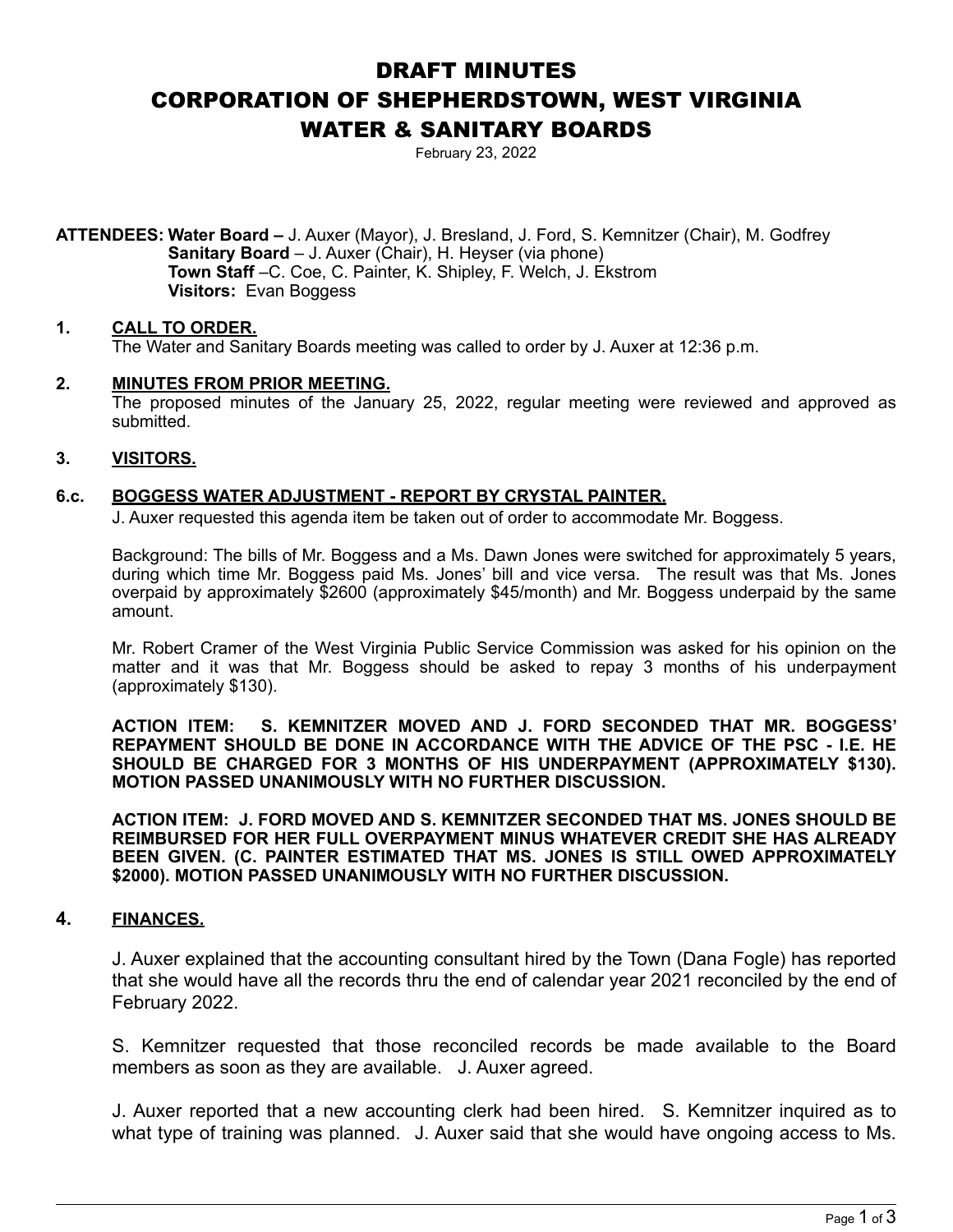# DRAFT MINUTES CORPORATION OF SHEPHERDSTOWN, WEST VIRGINIA WATER & SANITARY BOARDS

February 23, 2022

**ATTENDEES: Water Board –** J. Auxer (Mayor), J. Bresland, J. Ford, S. Kemnitzer (Chair), M. Godfrey **Sanitary Board** – J. Auxer (Chair), H. Heyser (via phone) **Town Staff** –C. Coe, C. Painter, K. Shipley, F. Welch, J. Ekstrom **Visitors:** Evan Boggess

## **1. CALL TO ORDER.**

The Water and Sanitary Boards meeting was called to order by J. Auxer at 12:36 p.m.

#### **2. MINUTES FROM PRIOR MEETING.**

The proposed minutes of the January 25, 2022, regular meeting were reviewed and approved as submitted.

#### **3. VISITORS.**

## **6.c. BOGGESS WATER ADJUSTMENT - REPORT BY CRYSTAL PAINTER.**

J. Auxer requested this agenda item be taken out of order to accommodate Mr. Boggess.

 Background: The bills of Mr. Boggess and a Ms. Dawn Jones were switched for approximately 5 years, during which time Mr. Boggess paid Ms. Jones' bill and vice versa. The result was that Ms. Jones overpaid by approximately \$2600 (approximately \$45/month) and Mr. Boggess underpaid by the same amount.

 Mr. Robert Cramer of the West Virginia Public Service Commission was asked for his opinion on the matter and it was that Mr. Boggess should be asked to repay 3 months of his underpayment (approximately \$130).

**ACTION ITEM: S. KEMNITZER MOVED AND J. FORD SECONDED THAT MR. BOGGESS' REPAYMENT SHOULD BE DONE IN ACCORDANCE WITH THE ADVICE OF THE PSC - I.E. HE SHOULD BE CHARGED FOR 3 MONTHS OF HIS UNDERPAYMENT (APPROXIMATELY \$130). MOTION PASSED UNANIMOUSLY WITH NO FURTHER DISCUSSION.** 

**ACTION ITEM: J. FORD MOVED AND S. KEMNITZER SECONDED THAT MS. JONES SHOULD BE REIMBURSED FOR HER FULL OVERPAYMENT MINUS WHATEVER CREDIT SHE HAS ALREADY BEEN GIVEN. (C. PAINTER ESTIMATED THAT MS. JONES IS STILL OWED APPROXIMATELY \$2000). MOTION PASSED UNANIMOUSLY WITH NO FURTHER DISCUSSION.** 

## **4. FINANCES.**

J. Auxer explained that the accounting consultant hired by the Town (Dana Fogle) has reported that she would have all the records thru the end of calendar year 2021 reconciled by the end of February 2022.

 S. Kemnitzer requested that those reconciled records be made available to the Board members as soon as they are available. J. Auxer agreed.

 J. Auxer reported that a new accounting clerk had been hired. S. Kemnitzer inquired as to what type of training was planned. J. Auxer said that she would have ongoing access to Ms.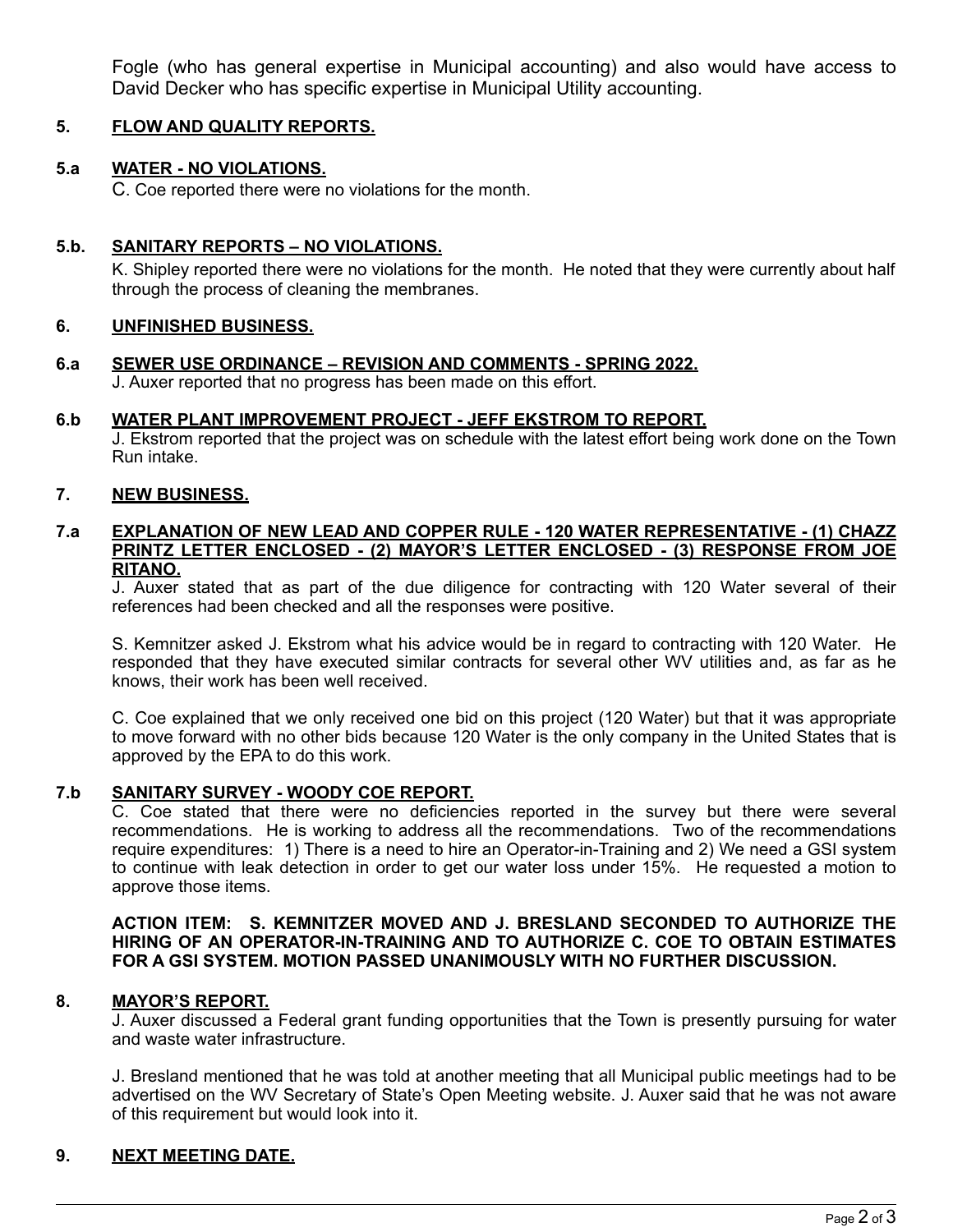Fogle (who has general expertise in Municipal accounting) and also would have access to David Decker who has specific expertise in Municipal Utility accounting.

## **5. FLOW AND QUALITY REPORTS.**

# **5.a WATER - NO VIOLATIONS.**

C. Coe reported there were no violations for the month.

## **5.b. SANITARY REPORTS – NO VIOLATIONS.**

K. Shipley reported there were no violations for the month. He noted that they were currently about half through the process of cleaning the membranes.

## **6. UNFINISHED BUSINESS.**

**6.a SEWER USE ORDINANCE – REVISION AND COMMENTS - SPRING 2022.** J. Auxer reported that no progress has been made on this effort.

## **6.b WATER PLANT IMPROVEMENT PROJECT - JEFF EKSTROM TO REPORT.**

 J. Ekstrom reported that the project was on schedule with the latest effort being work done on the Town Run intake.

## **7. NEW BUSINESS.**

## **7.a EXPLANATION OF NEW LEAD AND COPPER RULE - 120 WATER REPRESENTATIVE - (1) CHAZZ PRINTZ LETTER ENCLOSED - (2) MAYOR'S LETTER ENCLOSED - (3) RESPONSE FROM JOE RITANO.**

J. Auxer stated that as part of the due diligence for contracting with 120 Water several of their references had been checked and all the responses were positive.

S. Kemnitzer asked J. Ekstrom what his advice would be in regard to contracting with 120 Water. He responded that they have executed similar contracts for several other WV utilities and, as far as he knows, their work has been well received.

C. Coe explained that we only received one bid on this project (120 Water) but that it was appropriate to move forward with no other bids because 120 Water is the only company in the United States that is approved by the EPA to do this work.

# **7.b SANITARY SURVEY - WOODY COE REPORT.**

C. Coe stated that there were no deficiencies reported in the survey but there were several recommendations. He is working to address all the recommendations. Two of the recommendations require expenditures: 1) There is a need to hire an Operator-in-Training and 2) We need a GSI system to continue with leak detection in order to get our water loss under 15%. He requested a motion to approve those items.

## **ACTION ITEM: S. KEMNITZER MOVED AND J. BRESLAND SECONDED TO AUTHORIZE THE HIRING OF AN OPERATOR-IN-TRAINING AND TO AUTHORIZE C. COE TO OBTAIN ESTIMATES FOR A GSI SYSTEM. MOTION PASSED UNANIMOUSLY WITH NO FURTHER DISCUSSION.**

## **8. MAYOR'S REPORT.**

J. Auxer discussed a Federal grant funding opportunities that the Town is presently pursuing for water and waste water infrastructure.

 J. Bresland mentioned that he was told at another meeting that all Municipal public meetings had to be advertised on the WV Secretary of State's Open Meeting website. J. Auxer said that he was not aware of this requirement but would look into it.

# **9. NEXT MEETING DATE.**